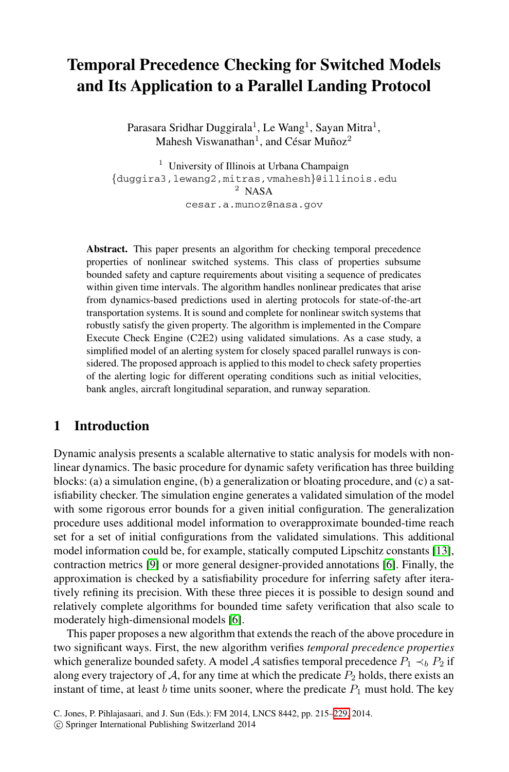# **Temporal Precedence Checking for Switched Models and Its Application to a Parallel Landing Protocol**

Parasara Sridhar Duggirala<sup>1</sup>, Le Wang<sup>1</sup>, Sayan Mitra<sup>1</sup>, Mahesh Viswanathan<sup>1</sup>, and César Muñoz<sup>2</sup>

<sup>1</sup> University of Illinois at Urbana Champaign  ${\text{duggira3,lewang2,mitras,vmahesh}}$ @illinois.edu <sup>2</sup> NASA cesar.a.munoz@nasa.gov

**Abstract.** This paper presents an algorithm for checking temporal precedence properties of nonlinear switched systems. This class of properties subsume bounded safety and capture requirements about visiting a sequence of predicates within given time intervals. The algorithm handles nonlinear predicates that arise from dynamics-based predictions used in alerting protocols for state-of-the-art transportation systems. It is sound and complete for nonlinear switch systems that robustly satisfy the given property. The algorithm is implemented in the Compare Execute Check Engine (C2E2) using validated simulations. As a case study, a simplified model of an alerting system for closely spaced parallel runways is considered. The proposed approach is applied to this model to check safety properties of the alerting logic for different operating conditions such as initial velocities, bank angles, aircraft longitudinal separation, and runway separation.

# **1 Introduction**

[Dy](#page-14-1)namic analysis presents a scalable alternative to s[tat](#page-14-2)ic analy[sis](#page-14-0) [f](#page-14-0)or models with nonlinear dynamics. The basic procedure for dynamic safety verification has three building blocks: (a) a simulation engine, (b) a generalization or bloating procedure, and (c) a satisfiability checker. The simulation engine generates a validated simulation of the model with some rigorou[s](#page-14-2) error bounds for a given initial configuration. The generalization procedure uses additional model information to overapproximate bounded-time reach set for a set of initial configurations from the validated simulations. This additional model information could be, for example, statically computed Lipschitz constants [13], contraction metrics [9] or more general designer-provided annotations [6]. Finally, the approximation is checked by a satisfiability procedure for inferring safety after iteratively refining its precision. With these three pieces it is possible to design sound and relatively complete algorithms for boun[ded](#page-14-3) time safety verification that also scale to moderately high-dimensional models [6].

This paper proposes a new algorithm that extends the reach of the above procedure in two significant ways. First, the new algorithm verifies *temporal precedence properties* which generalize bounded safety. A model A satisfies temporal precedence  $P_1 \prec_b P_2$  if along every trajectory of A, for any time at which the predicate  $P_2$  holds, there exists an instant of time, at least b time units sooner, where the predicate  $P_1$  must hold. The key

C. Jones, P. Pihlajasaari, and J. Sun (Eds.): FM 2014, LNCS 8442, pp. 215–229, 2014.

<sup>-</sup>c Springer International Publishing Switzerland 2014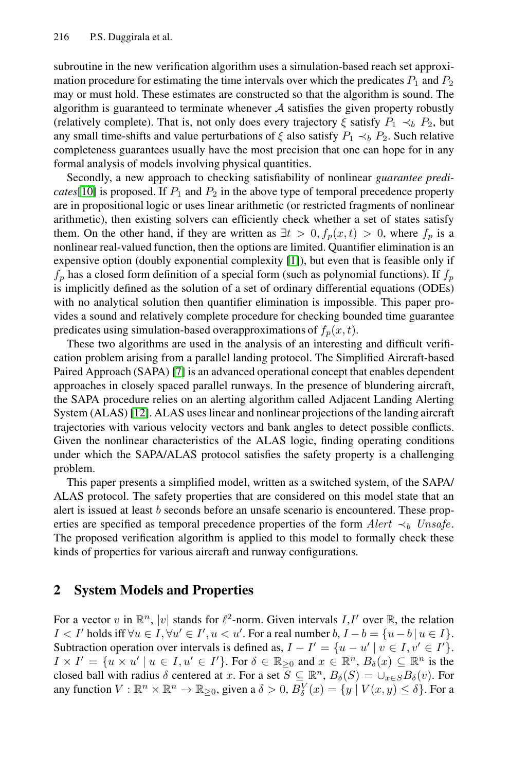subroutine in the new verification algorithm uses a simulation-based reach set approximation procedure for estimating the time intervals over which the predicates  $P_1$  and  $P_2$ may or must hold. These estimates are constructed so that the algorithm is sound. The algorithm is guaranteed to terminate whenever  $A$  satisfies the given property robustly (relatively complete). That is, not only does every trajectory  $\xi$  satisfy  $P_1 \prec_b P_2$ , but any small time-shifts and value perturbations of  $\xi$  also satisfy  $P_1 \prec_b P_2$ . Such relative completeness guarantees usual[ly](#page-14-4) have the most precision that one can hope for in any formal analysis of models involving physical quantities.

Secondly, a new approach to checking satisfiability of nonlinear *guarantee predicates*[10] is proposed. If  $P_1$  and  $P_2$  in the above type of temporal precedence property are in propositional logic or uses linear arithmetic (or restricted fragments of nonlinear arithmetic), then existing solvers can efficiently check whether a set of states satisfy them. On the other hand, if they are written as  $\exists t > 0, f_p(x, t) > 0$ , where  $f_p$  is a nonlinear real-valued function, then the options are limited. Quantifier elimination is an expen[siv](#page-14-5)e option (doubly exponential complexity [1]), but even that is feasible only if  $f_p$  has a closed form definition of a special form (such as polynomial functions). If  $f_p$ is implicitly defined as the solution of a set of ordinary differential equations (ODEs) [w](#page-14-6)ith no analytical solution then quantifier elimination is impossible. This paper provides a sound and relatively complete procedure for checking bounded time guarantee predicates using simulation-based overapproximations of  $f_p(x, t)$ .

These two algorithms are used in the analysis of an interesting and difficult verification problem arising from a parallel landing protocol. The Simplified Aircraft-based Paired Approach (SAPA) [7] is an advanced operational concept that enables dependent approaches in closely spaced parallel runways. In the presence of blundering aircraft, the SAPA procedure relies on an alerting algorithm called Adjacent Landing Alerting System (ALAS) [12]. ALAS uses linear and nonlinear projections of the landing aircraft trajectories with various velocity vectors and bank angles to detect possible conflicts. Given the nonlinear characteristics of the ALAS logic, finding operating conditions under which the SAPA/ALAS protocol satisfies the safety property is a challenging problem.

This paper presents a simplified model, written as a switched system, of the SAPA/ ALAS protocol. The safety properties that are considered on this model state that an alert is issued at least b seconds before an unsafe scenario is encountered. These properties are specified as temporal precedence properties of the form  $Alert \prec_b Unsafe$ . The proposed verification algorithm is applied to this model to formally check these kinds of properties for various aircraft and runway configurations.

# **2 System Models and Properties**

For a vector v in  $\mathbb{R}^n$ , |v| stands for  $\ell^2$ -norm. Given intervals  $I, I'$  over  $\mathbb{R}$ , the relation  $I < I'$  holds iff ∀u ∈  $I, \forall u' \in I', u < u'$ . For a real number  $b, I - b = \{u - b | u \in I\}$ . Subtraction operation over intervals is defined as,  $I - I' = \{u - u' \mid v \in I, v' \in I'\}.$  $I \times I' = \{u \times u' \mid u \in I, u' \in I'\}$ . For  $\delta \in \mathbb{R}_{\geq 0}$  and  $x \in \mathbb{R}^n$ ,  $B_{\delta}(x) \subseteq \mathbb{R}^n$  is the closed ball with radius  $\delta$  centered at x. For a set  $S \subseteq \mathbb{R}^n$ ,  $B_{\delta}(S) = \bigcup_{x \in S} B_{\delta}(v)$ . For any function  $V : \mathbb{R}^n \times \mathbb{R}^n \to \mathbb{R}_{\geq 0}$ , given a  $\delta > 0$ ,  $B_{\delta}^V(x) = \{y \mid V(x, y) \leq \delta\}$ . For a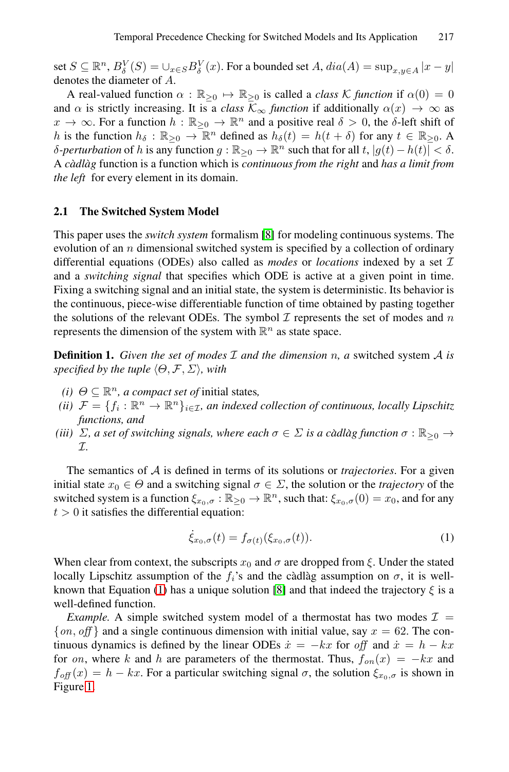set  $S \subseteq \mathbb{R}^n$ ,  $B^V_S(S) = \bigcup_{x \in S} B^V_{\delta}(x)$ . For a bounded set  $A$ ,  $dia(A) = \sup_{x,y \in A} |x-y|$ denotes the diameter of A.

A real-valued function  $\alpha : \mathbb{R}_{\geq 0} \mapsto \mathbb{R}_{\geq 0}$  is called a *class* K *function* if  $\alpha(0) = 0$ and  $\alpha$  is strictly increasing. It is a *class*  $\mathcal{K}_{\infty}$  *function* if additionally  $\alpha(x) \to \infty$  as  $x \to \infty$ . For a function  $h : \mathbb{R}_{\geq 0} \to \mathbb{R}^n$  $h : \mathbb{R}_{\geq 0} \to \mathbb{R}^n$  and a positive real  $\delta > 0$ , the  $\delta$ -left shift of h is the function  $h_{\delta} : \mathbb{R}_{\geq 0} \to \mathbb{R}^n$  defined as  $h_{\delta}(t) = h(t + \delta)$  for any  $t \in \mathbb{R}_{\geq 0}$ . A δ*-perturbation* of *h* is any function  $g : \mathbb{R}_{\geq 0} \to \mathbb{R}^n$  such that for all  $t$ ,  $|g(t) - h(t)| < δ$ . A *cadl ` ag`* function is a function which is *continuous from the right* and *has a limit from the left* for every element in its domain.

### **2.1 The Switched System Model**

This paper uses the *switch system* formalism [8] for modeling continuous systems. The evolution of an  $n$  dimensional switched system is specified by a collection of ordinary differential equations (ODEs) also called as *modes* or *locations* indexed by a set I and a *switching signal* that specifies which ODE is active at a given point in time. Fixing a switching signal and an initial state, the system is deterministic. Its behavior is the continuous, piece-wise differentiable function of time obtained by pasting together the solutions of the relevant ODEs. The symbol  $\mathcal I$  represents the set of modes and  $n$ represents the dimension of the system with  $\mathbb{R}^n$  as state space.

<span id="page-2-0"></span>**Definition 1.** *Given the set of modes* I *and the dimension* n*, a* switched system A *is specified by the tuple*  $\langle \Theta, \mathcal{F}, \Sigma \rangle$ , with

- *(i)*  $\Theta \subseteq \mathbb{R}^n$ , *a compact set of initial states,*
- *(ii)*  $\mathcal{F} = \{f_i : \mathbb{R}^n \to \mathbb{R}^n\}_{i \in \mathcal{I}}$ *, an indexed collection of continuous, locally Lipschitz functions, and*
- *(iii)*  $\Sigma$ , a set of switching signals, where each  $\sigma \in \Sigma$  is a càdlàg function  $\sigma : \mathbb{R}_{\geq 0} \to$ I*.*

The semantics of A is defined in terms of its solutions or *trajectories*. For a given ini[tia](#page-2-0)l state  $x_0 \in \Theta$  and a s[wit](#page-14-7)ching signal  $\sigma \in \Sigma$ , the solution or the *trajectory* of the switched system is a function  $\xi_{x_0,\sigma} : \mathbb{R}_{\geq 0} \to \mathbb{R}^n$ , such that:  $\xi_{x_0,\sigma}(0) = x_0$ , and for any  $t > 0$  it satisfies the differential equation:

$$
\dot{\xi}_{x_0,\sigma}(t) = f_{\sigma(t)}(\xi_{x_0,\sigma}(t)).\tag{1}
$$

When clear from context, the subscripts  $x_0$  and  $\sigma$  are dropped from ξ. Under the stated locally Lipschitz assumption of the  $f_i$ 's and the càdlàg assumption on  $\sigma$ , it is wellknown that Equation (1) has a unique solution [8] and that indeed the trajectory  $\xi$  is a well-defined function.

*Example.* A simple switched system model of a thermostat has two modes  $\mathcal{I}$  =  $\{on, off\}$  and a single continuous dimension with initial value, say  $x = 62$ . The continuous dynamics is defined by the linear ODEs  $\dot{x} = -kx$  for *off* and  $\dot{x} = h - kx$ for *on*, where k and h are parameters of the thermostat. Thus,  $f_{on}(x) = -kx$  and  $f_{\text{off}}(x) = h - kx$ . For a particular switching signal  $\sigma$ , the solution  $\xi_{x_0,\sigma}$  is shown in Figure 1.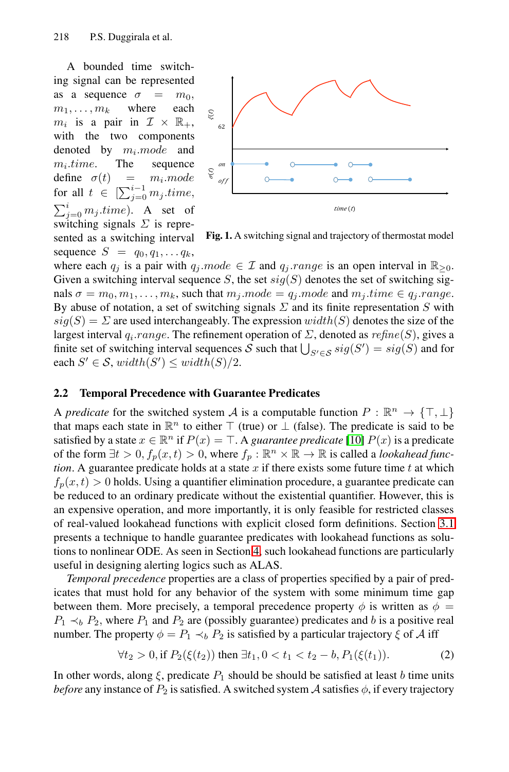A bounded time switching signal can be represented as a sequence  $\sigma = m_0$ ,  $m_1, \ldots, m_k$  where each  $m_i$  is a pair in  $\mathcal{I} \times \mathbb{R}_+$ , with the two components denoted by  $m_i$ . mode and  $m_i.time.$  The sequence define  $\sigma(t) = m_i$ .mode for all  $t \in \left[\sum_{j=0}^{i-1} m_j.time\right]$  $\sum_{j=0}^{i} m_j.time$ ). A set of switching signals  $\Sigma$  is represented as a switching interval sequence  $S = q_0, q_1, \ldots q_k$ ,



**Fig. 1.** A switching signal and trajectory of thermostat model

<span id="page-3-0"></span>where each  $q_j$  is a pair with  $q_j$  mode  $\in \mathcal{I}$  and  $q_j$  range is an open interval in  $\mathbb{R}_{\geq 0}$ . Given a switching interval sequence S, the set  $sig(S)$  denotes the set of switching signals  $\sigma = m_0, m_1, \ldots, m_k$ , such that  $m_j$ .mode =  $q_j$ .mode and  $m_j$ .time  $\in q_j$ .range. By abuse of notation, a set of switching signals  $\Sigma$  and its finite representation S with  $sig(S) = \Sigma$  are used interchangeably. The expression  $width(S)$  denotes the size of the largest interval  $q_i$ .*range*. The refinement op[erat](#page-14-8)ion of  $\Sigma$ , denoted as  $refine(S)$ , gives a finite set of switching interval sequences S such that  $\bigcup_{S' \in \mathcal{S}} sig(S') = sig(S)$  and for each  $S' \in \mathcal{S}$ ,  $width(S') \leq width(S)/2$ .

### **2.2 Temporal Precedence with Guarantee Predicates**

A *predicate* for the switched system A is a computable functi[on](#page-6-0)  $P : \mathbb{R}^n \to \{\top, \bot\}$ that maps each state in  $\mathbb{R}^n$  to either  $\top$  (true) or  $\bot$  (false). The predicate is said to be satisfied by a state  $x \in \mathbb{R}^n$  $x \in \mathbb{R}^n$  $x \in \mathbb{R}^n$  if  $P(x) = \top$ . A *guarantee predicate* [10]  $P(x)$  is a predicate of the form  $\exists t > 0, f_p(x, t) > 0$ , where  $f_p : \mathbb{R}^n \times \mathbb{R} \to \mathbb{R}$  is called a *lookahead function*. A guarantee predicate holds at a state  $x$  if there exists some future time  $t$  at which  $f_p(x, t) > 0$  holds. Using a quantifier elimination procedure, a guarantee predicate can be reduced to an ordinary predicate without the existential quantifier. However, this is an expensive operation, and more importantly, it is only feasible for restricted classes of real-valued lookahead functions with explicit closed form definitions. Section 3.1 presents a technique to handle guarantee predicates with lookahead functions as solutions to nonlinear ODE. As seen in Section 4, such lookahead functions are particularly useful in designing alerting logics such as ALAS.

*Temporal precedence* properties are a class of properties specified by a pair of predicates that must hold for any behavior of the system with some minimum time gap between them. More precisely, a temporal precedence property  $\phi$  is written as  $\phi =$  $P_1 \prec_b P_2$ , where  $P_1$  and  $P_2$  are (possibly guarantee) predicates and b is a positive real number. The property  $\phi = P_1 \prec_b P_2$  is satisfied by a particular trajectory  $\xi$  of A iff

$$
\forall t_2 > 0, \text{if } P_2(\xi(t_2)) \text{ then } \exists t_1, 0 < t_1 < t_2 - b, P_1(\xi(t_1)). \tag{2}
$$

In other words, along  $\xi$ , predicate  $P_1$  should be should be satisfied at least b time units *before* any instance of  $P_2$  is satisfied. A switched system A satisfies  $\phi$ , if every trajectory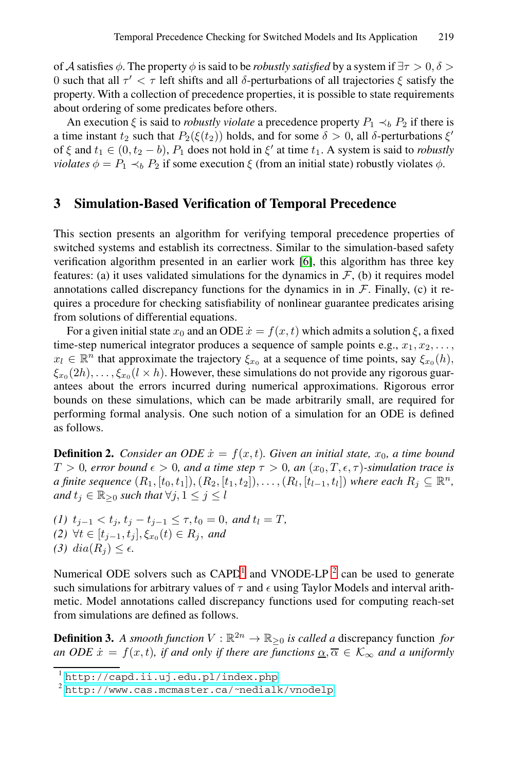<span id="page-4-4"></span>of A satisfies  $\phi$ . The property  $\phi$  is said to be *robustly satisfied* by a system if  $\exists \tau > 0$ ,  $\delta >$ 0 such that all  $τ' < τ$  left shifts and all δ-perturbations of all trajectories  $ξ$  satisfy the property. With a collection of precedence properties, it is possible to state requirements about ordering of some predicates before others.

An execution  $\xi$  is said to *robustly violate* a precedence property  $P_1 \prec_b P_2$  if there is a time instant  $t_2$  such that  $P_2(\xi(t_2))$  holds, and for some  $\delta > 0$ , all  $\delta$ -perturbations  $\xi'$ of  $\xi$  and  $t_1 \in (0, t_2 - b)$ ,  $P_1$  does [no](#page-14-2)t hold in  $\xi'$  at time  $t_1$ . A system is said to *robustly violates*  $\phi = P_1 \prec_b P_2$  if some execution  $\xi$  (from an initial state) robustly violates  $\phi$ .

# **3 Simulation-Based Verification of Temporal Precedence**

<span id="page-4-3"></span>This section presents an algorithm for verifying temporal precedence properties of switched systems and establish its correctness. Similar to the simulation-based safety verification algorithm presented in an earlier work [6], this algorithm has three key features: (a) it uses validated simulations for the dynamics in  $F$ , (b) it requires model annotations called discrepancy functions for the dynamics in in  $\mathcal F$ . Finally, (c) it requires a procedure for checking satisfiability of nonlinear guarantee predicates arising from solutions of differential equations.

For a given initial state  $x_0$  and an ODE  $\dot{x} = f(x, t)$  which admits a solution  $\xi$ , a fixed time-step numerical integrator produces a sequence of sample points e.g.,  $x_1, x_2, \ldots$ ,  $x_l \in \mathbb{R}^n$  that approximate the trajectory  $\xi_{x_0}$  at a sequence of time points, say  $\xi_{x_0} (h)$ ,  $\xi_{x_0}(2h),\ldots,\xi_{x_0}(l \times h)$ . However, these simulations do not provide any rigorous guarantees about the errors incurred during numerical approximations. Rigorous error bounds on these simulations, which can be made arbitrarily small, are required for performing formal analysis. One such notion of a simulation for an ODE is defined as follows.

<span id="page-4-2"></span><span id="page-4-0"></span>**Definition 2.** *Consider an ODE*  $\dot{x} = f(x, t)$ *. Given an initial state,*  $x_0$ *, a time bound*  $T > 0$ , error bound  $\epsilon > 0$ , and a time [ste](#page-4-1)p  $\tau > 0$ , an  $(x_0, T, \epsilon, \tau)$ -simulation trace is *a finite sequence*  $(R_1, [t_0, t_1]), (R_2, [t_1, t_2]), \ldots, (R_l, [t_{l-1}, t_l])$  *where each*  $R_j ⊆ \mathbb{R}^n$ *, and*  $t_j \in \mathbb{R}_{\geq 0}$  *such that*  $\forall j, 1 \leq j \leq l$ 

<span id="page-4-1"></span>*(1)*  $t_{j-1} < t_j$ ,  $t_j - t_{j-1} \leq \tau$ ,  $t_0 = 0$ , *and*  $t_l = T$ , *(2)* ∀*t* ∈  $[t_{j-1}, t_j]$ ,  $\xi_{x_0}(t)$  ∈  $R_j$ , *and* (3)  $dia(R_i) \leq \epsilon$ .

[Numerical ODE solvers such](http://capd.ii.uj.edu.pl/index.php) as  $CAPD<sup>1</sup>$  and VNODE-LP <sup>2</sup> can be used to generate [such simulations for arbitrary values of](http://www.cas.mcmaster.ca/~nedialk/vnodelp)  $\tau$  and  $\epsilon$  using Taylor Models and interval arithmetic. Model annotations called discrepancy functions used for computing reach-set from simulations are defined as follows.

**Definition 3.** A smooth function  $V : \mathbb{R}^{2n} \to \mathbb{R}_{\geq 0}$  is called a discrepancy function for *an ODE*  $\dot{x} = f(x, t)$ *, if and only if there are functions*  $\underline{\alpha}, \overline{\alpha} \in \mathcal{K}_{\infty}$  *and a uniformly* 

<sup>1</sup> http://capd.ii.uj.edu.pl/index.php

 $2$  http://www.cas.mcmaster.ca/~nedialk/vnodelp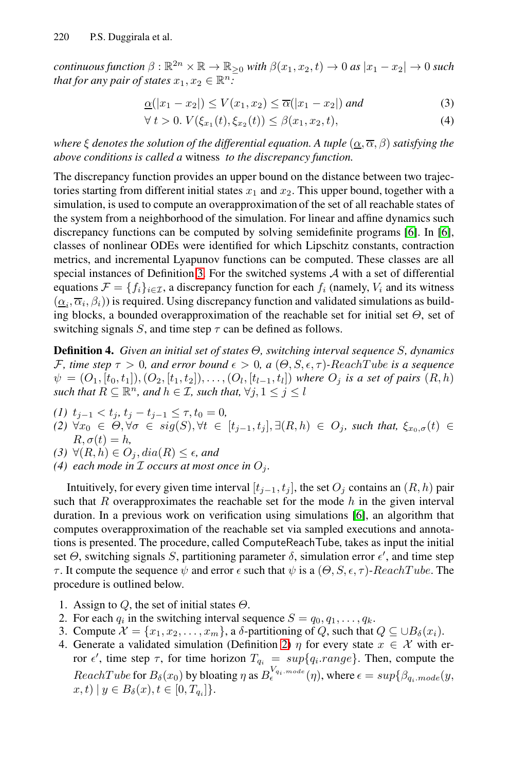*continuous function*  $\beta : \mathbb{R}^{2n} \times \mathbb{R} \to \mathbb{R}_{\geq 0}$  *with*  $\beta(x_1, x_2, t) \to 0$  *as*  $|x_1 - x_2| \to 0$  *such that for any pair of states*  $x_1, x_2 \in \mathbb{R}^n$ *:* 

$$
\underline{\alpha}(|x_1 - x_2|) \le V(x_1, x_2) \le \overline{\alpha}(|x_1 - x_2|) \text{ and } \tag{3}
$$

$$
\forall t > 0. \ V(\xi_{x_1}(t), \xi_{x_2}(t)) \le \beta(x_1, x_2, t), \tag{4}
$$

<span id="page-5-0"></span>*where*  $\xi$  *denotes the solution of the differential equation. A tuple*  $(\alpha, \overline{\alpha}, \beta)$  *satisfying the above conditions is called a* witness *to the discrepancy function.*

The discre[pan](#page-4-2)cy function provides an upper bound on the distance between two trajectories starting from different initial states  $x_1$  and  $x_2$ . This upper bound, together with a simulation, is used to compute an overapproximation of the set of all reachable states of the system from a neighborhood of the simulation. For linear and affine dynamics such discrepancy functions can be computed by solving semidefinite programs [6]. In [6], classes of nonlinear ODEs were identified for which Lipschitz constants, contraction metrics, and incremental Lyapunov functions can be computed. These classes are all special instances of Definition 3. For the switched systems  $A$  with a set of differential equations  $\mathcal{F} = \{f_i\}_{i \in \mathcal{I}}$ , a discrepancy function for each  $f_i$  (namely,  $V_i$  and its witness  $(\underline{\alpha}_i, \overline{\alpha}_i, \beta_i)$ ) is required. Using discrepancy function and validated simulations as building blocks, a bounded overapproximation of the reachable set for initial set  $\Theta$ , set of switching signals S, and time step  $\tau$  can be defined as follows.

**Definition 4.** *Given an initial set of states* Θ*, switching interval sequence* S*, dynamics* F, time step  $\tau > 0$ , and error bound  $\epsilon > 0$ , a  $(\Theta, S, \epsilon, \tau)$ -ReachTube is a sequence  $\psi = (O_1, [t_0, t_1]), (O_2, [t_1, t_2]), \ldots, (O_l, [t_{l-1}, t_l])$  where  $O_j$  is a set of pairs  $(R, h)$ *such that*  $R \subseteq \mathbb{R}^n$ *, and*  $h \in \mathcal{I}$ *, such that,*  $\forall j, 1 \leq j \leq l$ 

- $(t)$  t<sub>j−1</sub> < t<sub>j</sub>, t<sub>j</sub> − t<sub>j−1</sub> ≤ τ, t<sub>0</sub> = 0*,*
- *(2)*  $\forall x_0 \in \Theta, \forall \sigma \in sig(S), \forall t \in [t_{j-1}, t_j], \exists (R, h) \in O_j$ *, such that,*  $\xi_{x_0, \sigma}(t)$  ∈  $R, \sigma(t) = h$ ,
- *(3)* ∀ $(R, h)$  ∈  $O_j$ ,  $dia(R)$  ≤  $\epsilon$ , and
- (4) each mode in  $\mathcal I$  *occurs at most once in*  $O_i$ *.*

Intuitively, for every given time interval  $[t_{j-1}, t_j]$ , the set  $O_j$  contains an  $(R, h)$  pair such that  $R$  overapproximates the reachable set for the mode  $h$  in the given interval duration. In a previous work on verification using simulations [6], an algorithm that computes overapproximation of the reachable set via sampled executions and annotations is presented. The proce[dur](#page-4-3)e, called ComputeReachTube, takes as input the initial set  $\Theta$ , switching signals S, partitioning parameter  $\delta$ , simulation error  $\epsilon'$ , and time step τ. It compute the sequence  $\psi$  and error  $\epsilon$  such that  $\psi$  is a  $(\Theta, S, \epsilon, \tau)$ -ReachTube. The procedure is outlined below.

- 1. Assign to  $Q$ , the set of initial states  $\Theta$ .
- 2. For each  $q_i$  in the switching interval sequence  $S = q_0, q_1, \ldots, q_k$ .
- 3. Compute  $\mathcal{X} = \{x_1, x_2, \ldots, x_m\}$ , a  $\delta$ -partitioning of Q, such that  $Q \subseteq \bigcup B_{\delta}(x_i)$ .
- 4. Generate a validated simulation (Definition 2)  $\eta$  for every state  $x \in \mathcal{X}$  with error  $\epsilon'$ , time step  $\tau$ , for time horizon  $T_{q_i} = \sup\{q_i \cdot range\}$ . Then, compute the  $ReachTwo$  for  $B_\delta(x_0)$  by bloating  $\eta$  as  $B_\epsilon^{V_{q_i, mode}}(\eta)$ , where  $\epsilon = sup{\beta_{q_i, mode}(y, \eta)}$  $x, t) | y \in B_{\delta}(x), t \in [0, T_{q_i}] \}.$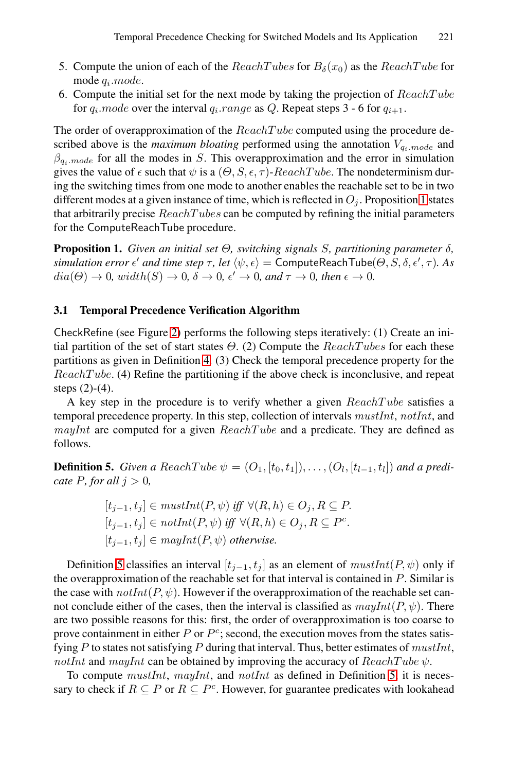- <span id="page-6-1"></span>5. Compute the union of each of the  $ReachTubes$  for  $B_\delta(x_0)$  as the  $ReachTube$  for mode  $q_i$ .mode.
- <span id="page-6-0"></span>6. Compute the initial set for the next mode by taking th[e p](#page-6-1)rojection of  $ReachTwo$ for  $q_i$ .mode over the interval  $q_i$ .range as Q. Repeat steps 3 - 6 for  $q_{i+1}$ .

The order of overapproximation of the  $ReachTwo$  computed using the procedure described above is the *maximum bloating* performed using the annotation  $V_{q_i, mode}$  and  $\beta_{q_i mode}$  for all the modes in S. This overapproximation and the error in simulation gives the value of  $\epsilon$  such that  $\psi$  is a  $(\Theta, S, \epsilon, \tau)$ -ReachTube. The nondeterminism during the switching times from one mode to another enables the reachable set to be in two different modes at a given instance of time, which is reflected in  $O_i$ . Proposition 1 states that arbitrarily precise  $ReachTubes$  can be computed by refining the initial parameters for th[e](#page-8-0) ComputeReachTube procedure.

<span id="page-6-2"></span>**Proposition [1.](#page-5-0)** *Given an initial set* Θ*, switching signals* S*, partitioning parameter* δ*,*  $s$ *imulation error*  $\epsilon'$  *and time step*  $\tau$ *, let*  $\langle \psi, \epsilon \rangle$  = ComputeReachTube( $\Theta, S, \delta, \epsilon', \tau$ ). As  $dia(\Theta) \to 0$ *, width* $(S) \to 0$ *,*  $\delta \to 0$ *,*  $\epsilon' \to 0$ *, and*  $\tau \to 0$ *, then*  $\epsilon \to 0$ *.* 

### **3.1 Temporal Precedence Verification Algorithm**

CheckRefine (see Figure 2) performs the following steps iteratively: (1) Create an initial partition of the set of start states  $\Theta$ . (2) Compute the  $ReachTubes$  for each these partitions as given in Definition 4. (3) Check the temporal precedence property for the  $ReachTwo$ . (4) Refine the partitioning if the above check is inconclusive, and repeat steps (2)-(4).

A key step in the procedure is to verify whether a given  $ReachTwo$  satisfies a temporal precedence property. In this step, collection of intervals *mustInt*, *notInt*, and *mayInt* are computed for a given  $ReachTwo$  and a predicate. They are defined as follows.

**Definition 5.** *Given a ReachTube*  $\psi = (O_1, [t_0, t_1]), \ldots, (O_l, [t_{l-1}, t_l])$  *and a predicate*  $P$ *, for all*  $i > 0$ *,* 

$$
[t_{j-1}, t_j] \in \text{mustInt}(P, \psi) \text{ iff } \forall (R, h) \in O_j, R \subseteq P.
$$
  

$$
[t_{j-1}, t_j] \in \text{notInt}(P, \psi) \text{ iff } \forall (R, h) \in O_j, R \subseteq P^c.
$$
  

$$
[t_{j-1}, t_j] \in \text{mayInt}(P, \psi) \text{ otherwise.}
$$

Definition 5 classifies an interval  $[t_{j-1}, t_j]$  as an [ele](#page-6-2)ment of  $\textit{mustInt}(P, \psi)$  only if the overapproximation of the reachable set for that interval is contained in P. Similar is the case with  $notInt(P, \psi)$ . However if the overapproximation of the reachable set cannot conclude either of the cases, then the interval is classified as  $mayInt(P, \psi)$ . There are two possible reasons for this: first, the order of overapproximation is too coarse to prove containment in either  $P$  or  $P^c$ ; second, the execution moves from the states satisfying P to states not satisfying P during that interval. Thus, better estimates of *mustInt*, *notInt* and *mayInt* can be obtained by improving the accuracy of  $ReachTwo$ .

To compute *mustInt*, *mayInt*, and *notInt* as defined in Definition 5, it is necessary to check if  $R \subseteq P$  or  $R \subseteq P^c$ . However, for guarantee predicates with lookahead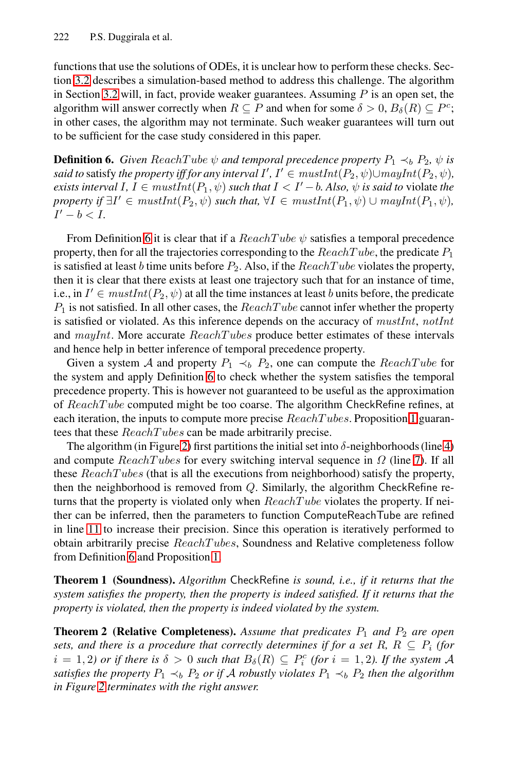<span id="page-7-0"></span>functions that use the solutions of ODEs, it is unclear how to perform these checks. Section 3.2 describes a simulation-based method to address this challenge. The algorithm in Section 3.2 will, in fact, provide weaker guarantees. Assuming  $P$  is an open set, the algorithm will answer correctly when  $R \subseteq P$  and when for some  $\delta > 0$ ,  $B_{\delta}(R) \subseteq P^c$ ; in other cases, the algorithm may not terminate. Such weaker guarantees will turn out [to](#page-7-0) be sufficient for the case study considered in this paper.

**Definition 6.** *Given* ReachTube  $\psi$  *and temporal precedence property*  $P_1 \prec_b P_2$ ,  $\psi$  *is said to* satisfy *the property iff for any interval*  $I', I' \in mustInt(P_2, \psi) \cup mayInt(P_2, \psi)$ *, exists interval I,*  $I \in mustInt(P_1, \psi)$  *such that*  $I < I'-b$ *. Also,*  $\psi$  *is said to* violate *the*  $p$ roperty if  $\exists I' \in mustInt(P_2, \psi)$  such that,  $\forall I \in mustInt(P_1, \psi) \cup mayInt(P_1, \psi)$ ,  $I'-b < I$ .

From Definition 6 it is clear that if a  $ReachTwo \psi$  satisfies a temporal precedence property, then for all the trajectories corresponding to the  $ReachTwo$ , the predicate  $P_1$ is satisfied at [lea](#page-7-0)st b time units before  $P_2$ . Also, if the  $ReachTwo$  violates the property, then it is clear that there exists at least one trajectory such that for an instance of time, i.e., in  $I' \in mustInt(P_2, \psi)$  at all the time instances at least b units before, the predicate  $P_1$  is [no](#page-6-1)t satisfied. In all other cases, the  $ReachTwo$  cannot infer whether the property is satisfied or violated. As this inference depends on the accuracy of *mustInt*, *notInt* and *ma[yI](#page-8-0)nt*. More accur[ate](#page-8-1) *ReachTubes* produce better estimates of these intervals and hence help in better inference of temporal precedence [pr](#page-8-2)operty.

Given a system A and property  $P_1 \prec_b P_2$ , one can compute the  $ReachTwo$  for the system and apply Definition 6 to check whether the system satisfies the temporal precedence property. This is however not guaranteed to be useful as the approximation of ReachTube computed might be too coarse. The algorithm CheckRefine refines, at each iteration, the inputs to compute more precise  $ReachTubes$ . Proposition 1 guarantees that these ReachT ubes can be made arbitrarily precise.

The algorit[hm](#page-6-1) (in Figure 2) first partitions the initial set into  $\delta$ -neighborhoods (line 4) and compute  $ReachTubes$  for every switching interval sequence in  $\Omega$  (line 7). If all these ReachT ubes (that is all the executions from neighborhood) satisfy the property, then the neighborhood is removed from Q. Similarly, the algorithm CheckRefine returns that the property is violated only when  $ReachTube$  violates the property. If neither can be inferred, then the parameters to function ComputeReachTube are refined in line 11 to increase their precision. Since this operation is iteratively performed to obtain arbitrarily precise ReachT ubes, Soundness and Relative completeness follow from Definition 6 and Proposition 1.

**Theorem 1 (Soundness).** *Algorithm* CheckRefine *is sound, i.e., if it returns that the system satisfies the property, then the property is indeed satisfied. If it returns that the property is violated, then the property is indeed violated by the system.*

**Theorem 2 (Relative Completeness).** Assume that predicates  $P_1$  and  $P_2$  are open *sets, and there is a procedure that correctly determines if for a set R, R*  $\subseteq$  *P<sub>i</sub> <i>(for*)  $i = 1, 2$ ) or if there is  $\delta > 0$  such that  $B_{\delta}(R) \subseteq P_i^c$  (for  $i = 1, 2$ ). If the system A *satisfies the property*  $P_1 \prec_b P_2$  *or if* A *robustly violates*  $P_1 \prec_b P_2$  *then the algorithm in Figure 2 terminates with the right answer.*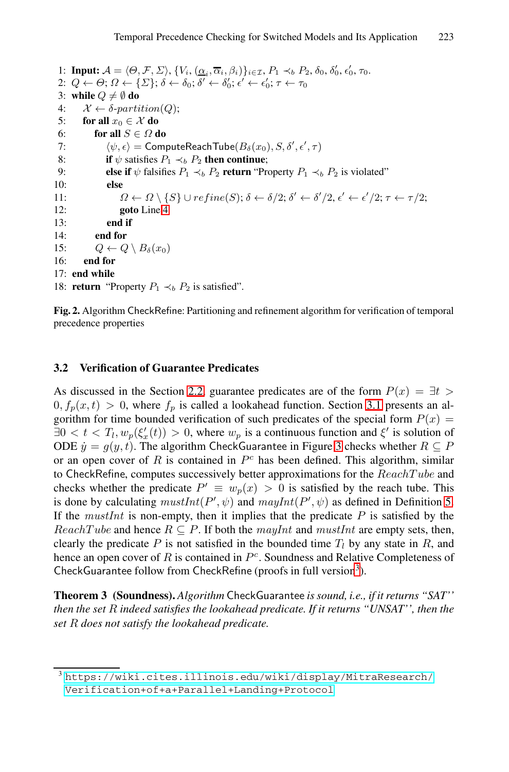<span id="page-8-2"></span><span id="page-8-1"></span><span id="page-8-0"></span>1: **Input:**  $A = \langle \Theta, \mathcal{F}, \Sigma \rangle, \{V_i, (\underline{\alpha}_i, \overline{\alpha}_i, \beta_i)\}_{i \in \mathcal{I}}, P_1 \prec_b P_2, \delta_0, \delta'_0, \epsilon'_0, \tau_0$ .<br>
2:  $O \leftarrow \Theta \cdot O \leftarrow f \sum_i \delta_i \leftarrow \delta_i \cdot \delta' \leftarrow \delta_i' \leftarrow \epsilon'_i \cdot \tau \leftarrow \tau_0$ 2:  $Q \leftarrow \Theta$ ;  $\Omega \leftarrow \{\Sigma\}$ ;  $\delta \leftarrow \delta_0$ ;  $\delta' \leftarrow \delta'_0$ ;  $\epsilon' \leftarrow \epsilon'_0$ ;  $\tau \leftarrow \tau_0$ <br>3: while  $\Omega \neq \emptyset$  do 3: **[w](#page-8-1)hile**  $Q \neq \emptyset$  **do**<br>4:  $X \leftarrow \delta$ -parti 4:  $\mathcal{X} \leftarrow \delta\text{-}partition(Q);$ <br>5: **for all**  $x_0 \in \mathcal{X}$  **do** 5: **for all**  $x_0 \in \mathcal{X}$  **do**<br>6: **for all**  $S \in \Omega$  **d** for all  $S \in \Omega$  do  $7: 8:$  $\psi, \epsilon$  = ComputeReachTube( $B_\delta(x_0), S, \delta', \epsilon', \tau$ )<br> $\mathbf{f}_{\delta b}$  satisfies  $P, \prec, P_0$  then continue; 8: **if**  $\psi$  satisfies  $P_1 \prec_b P_2$  **then continue**;<br>9. **else if**  $\psi$  falsifies  $P_1 \prec_b P_2$  **return** "Pro 9: **else if**  $\psi$  falsifies  $P_1 \prec_b P_2$  **return** "Property  $P_1 \prec_b P_2$  is violated" **else** 10: **else** 11:  $\Omega \leftarrow \Omega \setminus \{S\} \cup refine(S); \delta \leftarrow \delta/2; \delta' \leftarrow \delta'/2, \epsilon' \leftarrow \epsilon'/2; \tau \leftarrow \tau/2;$ <br>12:  $\text{code line } A$ 12: **goto** Line 4 13: **end if** 14: **end for** 15:  $Q \leftarrow Q \setminus B_{\delta}(x_0)$ <br>16: **end for** end for 17: **end while** 18: **return** ["P](#page-3-0)roperty  $P_1 \prec_b P_2$  is satisfied".

**Fig. 2.** Algorithm CheckRefine: Partitioning and refinement algorithm for verification of temporal precedence properties

### **3.2 Verification of Guarantee Predicates**

<span id="page-8-3"></span>As discussed in the Section 2.2, guarantee predicates are of th[e f](#page-6-2)orm  $P(x) = \exists t >$  $0, f_p(x, t) > 0$ , where  $f_p$  is called a lookahead function. Section 3.1 presents an algorithm for time bounded verification of such predicates of the special form  $P(x) =$  $\exists 0 < t < T_l, w_p(\xi'_x(t)) > 0$ , where  $w_p$  is a continuous function and  $\xi'$  is solution of ODE  $\dot{y} = g(y, t)$ . The algorithm CheckGuarantee in Figure 3 checks whether  $R \subseteq P$ or an open cover of R is contained in  $P<sup>c</sup>$  [has](#page-8-3) been defined. This algorithm, similar to CheckRefine, computes successively better approximations for the  $ReachTwo$  and checks whether the predicate  $P' \equiv w_p(x) > 0$  is satisfied by the reach tube. This is done by calculating  $\text{mustInt}(P', \psi)$  and  $\text{mayInt}(P', \psi)$  as defined in Definition 5. If the *mustInt* is non-empty, then it implies that the predicate P is satisfied by the  $ReachTwo$  and hence  $R \subseteq P$ . If both the *mayInt* and *mustInt* are empty sets, then, clearly the predicate P is not satisfied in the bounded time  $T_l$  by any state in R, and hence an open cover of R is contained in  $P<sup>c</sup>$ . Soundness and Relative Completeness of CheckGuarantee follow from CheckRefine [\(proofs in full versio](https://wiki.cites.illinois.edu/wiki/display/MitraResearch/Verification+of+a+Parallel+Landing+Protocol)n<sup>3</sup>).

**Theorem 3 (Soundness).** *Algorithm* CheckGuarantee *is sound, i.e., if it returns "SAT'' then the set* R *indeed satisfies the lookahead predicate. If it returns "UNSAT'', then the set* R *does not satisfy the lookahead predicate.*

 $^3$ https://wiki.cites.illinois.edu/wiki/display/MitraResearch/ Verification+of+a+Parallel+Landing+Protocol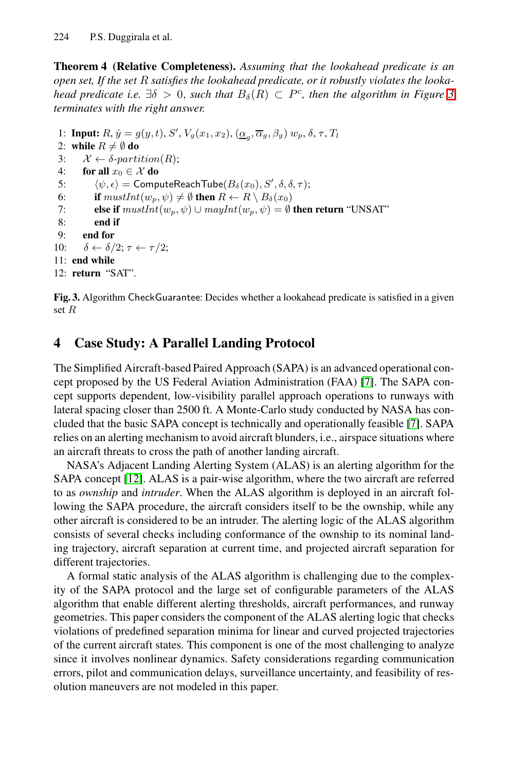**Theorem 4 (Relative Completeness).** *Assuming that the lookahead predicate is an open set, If the set* R *satisfies the lookahead predicate, or it robustly violates the lookahead predicate i.e.*  $\exists \delta > 0$ , *such that*  $B_{\delta}(R) \subset P^c$ , *then the algorithm in Figure 3 terminates with the right answer.*

<span id="page-9-0"></span>1: **Input:**  $R$ ,  $\dot{y} = g(y, t)$ ,  $S'$ ,  $V_g(x_1, x_2)$ ,  $(\underline{\alpha}_g, \overline{\alpha}_g, \beta_g)$   $w_p$ ,  $\delta$ ,  $\tau$ ,  $T_l$ <br>2: while  $R \neq \emptyset$  do 2: **while**  $R \neq \emptyset$  **do**<br>3:  $\mathcal{X} \leftarrow \delta$ -parti 3:  $\mathcal{X} \leftarrow \delta\text{-}partition(R);$ <br>4. for all  $x_0 \in \mathcal{X}$  do for all  $x_0 \in \mathcal{X}$  do  $rac{5}{6}$  $\psi, \epsilon$  = ComputeReachTube $(B_\delta(x_0), S', \delta, \delta, \tau);$ <br>  $\mathbf{f} \text{ must } (uv, \psi) \neq \emptyset$  then  $B \leftarrow B \setminus B_\delta(x_0)$ 6: **if**  $mustInt(w_p, \psi) \neq \emptyset$  **then**  $R \leftarrow R \setminus B_\delta(x_0)$ <br>7: **else if**  $mustInt(w_n, \psi) \cup mailnt(w_n, \psi) = \emptyset$ 7: **else if**  $mustInt(w_p, \psi) \cup mayInt(w_p, \psi) = \emptyset$  **then return** "UNSAT"<br>8: **end if** 8: **end if** 9: **end for** 10:  $\delta \leftarrow \delta/2; \tau \leftarrow \tau/2;$ 11: **end while** 12: **return** "SAT".

**Fig. 3.** Algorithm CheckGuarantee: Decides whether a lookahead predicate is satisfied in a given set R

# **4 Case Study: A Parallel Landing Protocol**

The Simplified Aircraft-based Paired Approach (SAPA) is an advanced operational concept proposed by the US Federal Aviation Administration (FAA) [7]. The SAPA concept supports dependent, low-visibility parallel approach operations to runways with lateral spacing closer than 2500 ft. A Monte-Carlo study conducted by NASA has concluded that the basic SAPA concept is technically and operationally feasible [7]. SAPA relies on an alerting mechanism to avoid aircraft blunders, i.e., airspace situations where an aircraft threats to cross the path of another landing aircraft.

NASA's Adjacent Landing Alerting System (ALAS) is an alerting algorithm for the SAPA concept [12]. ALAS is a pair-wise algorithm, where the two aircraft are referred to as *ownship* and *intruder*. When the ALAS algorithm is deployed in an aircraft following the SAPA procedure, the aircraft considers itself to be the ownship, while any other aircraft is considered to be an intruder. The alerting logic of the ALAS algorithm consists of several checks including conformance of the ownship to its nominal landing trajectory, aircraft separation at current time, and projected aircraft separation for different trajectories.

A formal static analysis of the ALAS algorithm is challenging due to the complexity of the SAPA protocol and the large set of configurable parameters of the ALAS algorithm that enable different alerting thresholds, aircraft performances, and runway geometries. This paper considers the component of the ALAS alerting logic that checks violations of predefined separation minima for linear and curved projected trajectories of the current aircraft states. This component is one of the most challenging to analyze since it involves nonlinear dynamics. Safety considerations regarding communication errors, pilot and communication delays, surveillance uncertainty, and feasibility of resolution maneuvers are not modeled in this paper.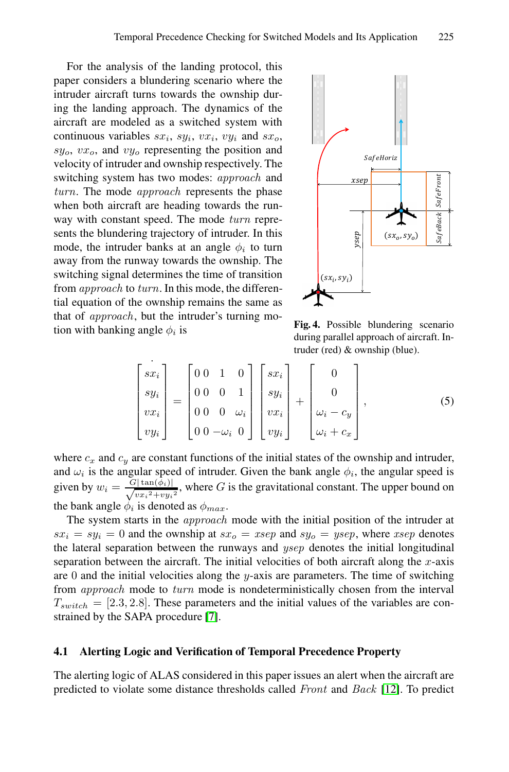For the analysis of the landing protocol, this paper considers a blundering scenario where the intruder aircraft turns towards the ownship during the landing approach. The dynamics of the aircraft are modeled as a switched system with continuous variables  $sx_i$ ,  $sy_i$ ,  $vx_i$ ,  $vy_i$  and  $sx_o$ ,  $sy_0, vx_0$ , and  $vy_0$  representing the position and velocity of intruder and ownship respectively. The switching system has two modes: *approach* and *turn*. The mode *approach* represents the phase when both aircraft are heading towards the runway with constant speed. The mode *turn* represents the blundering trajectory of intruder. In this mode, the intruder banks at an angle  $\phi_i$  to turn away from the runway towards the ownship. The switching signal determines the time of transition from *approach* to *turn*. In this mode, the differential equation of the ownship remains the same as that of *approach*, but the intruder's turning motion with banking angle  $\phi_i$  is



**Fig. 4.** Possible blundering scenario during parallel approach of aircraft. Intruder (red) & ownship (blue).

$$
\begin{bmatrix} \dot{s} \\ sy_i \\ vy_i \\ vy_i \end{bmatrix} = \begin{bmatrix} 0 & 0 & 1 & 0 \\ 0 & 0 & 0 & 1 \\ 0 & 0 & 0 & \omega_i \\ 0 & 0 & -\omega_i & 0 \end{bmatrix} \begin{bmatrix} sx_i \\ sy_i \\ vx_i \\ vy_i \end{bmatrix} + \begin{bmatrix} 0 \\ 0 \\ \omega_i - c_y \\ \omega_i + c_x \end{bmatrix},
$$
(5)

where  $c_x$  and  $c_y$  are constant functions of the initial states of the ownship and intruder, and  $\omega_i$  is the angular speed of intruder. Given the bank angle  $\phi_i$ , the angular speed is given by  $w_i = \frac{G|\tan(\hat{\phi}_i)|}{\sqrt{vx_i^2+vy_i^2}}$ , where G is the gravitational constant. The upper bound on th[e](#page-14-5) bank angle  $\dot{\phi}_i$  is denoted as  $\phi_{max}$ .

The system starts in the *approach* mode with the initial position of the intruder at  $sx_i = sy_i = 0$  and the ownship at  $sx_o = xsep$  and  $sy_o = ysep$ , where *xsep* denotes the lateral separation between the runways and *ysep* denotes the initial longitudinal separation between the aircraft. The initial velocities of both aircraft along the  $x$ -axis are 0 and the initial velocities along the y-axis are parameters. The time of switching from *approach* mode to *turn* mode is nondetermi[nist](#page-14-6)ically chosen from the interval  $T_{switch} = [2.3, 2.8]$ . These parameters and the initial values of the variables are constrained by the SAPA procedure [7].

### **4.1 Alerting Logic and Verification of Temporal Precedence Property**

The alerting logic of ALAS considered in this paper issues an alert when the aircraft are predicted to violate some distance thresholds called *Front* and *Back* [12]. To predict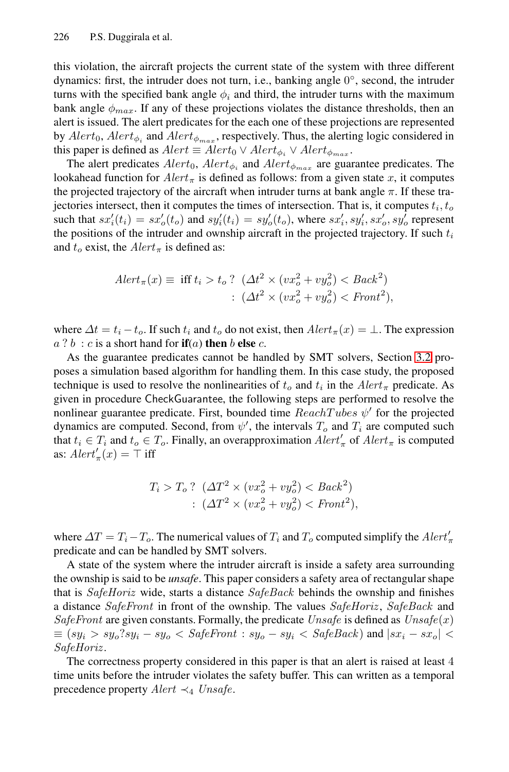this violation, the aircraft projects the current state of the system with three different dynamics: first, the intruder does not turn, i.e., banking angle 0◦, second, the intruder turns with the specified bank angle  $\phi_i$  and third, the intruder turns with the maximum bank angle  $\phi_{max}$ . If any of these projections violates the distance thresholds, then an alert is issued. The alert predicates for the each one of these projections are represented by  $Alert_0$ ,  $Alert_{\phi_i}$  and  $Alert_{\phi_{max}}$ , respectively. Thus, the alerting logic considered in this paper is defined as  $Alert \equiv Alert_0 \vee Alert_{\phi_i} \vee Alert_{\phi_{max}}$ .

The alert predicates  $Alert_0$ ,  $Alert_{\phi_i}$  and  $Alert_{\phi_{max}}$  are guarantee predicates. The lookahead function for  $Alert_{\pi}$  is defined as follows: from a given state x, it computes the projected trajectory of the aircraft when intruder turns at bank angle  $\pi$ . If these trajectories intersect, then it computes the times of intersection. That is, it computes  $t_i, t_o$ such that  $sx_i'(t_i) = sx'_o(t_o)$  and  $sy_i'(t_i) = sy'_o(t_o)$ , where  $sx_i', sy_i', sx_o', sy_o'$  represent the positions of the intruder and ownship aircraft in the projected trajectory. If such  $t_i$ and  $t_o$  exist, the  $Alert_{\pi}$  is defined as:

$$
Alet_{\pi}(x) \equiv \text{ iff } t_i > t_o ? \ (\Delta t^2 \times (vx_o^2 + vy_o^2) < Back^2) : \ (\Delta t^2 \times (vx_o^2 + vy_o^2) < Front^2),
$$

where  $\Delta t = t_i - t_o$ . If such  $t_i$  and  $t_o$  do not exist, then  $Alert_\pi(x) = \bot$ . The expression  $a$  ?  $b$  :  $c$  is a short hand for **if**(a) **then**  $b$  **else**  $c$ .

As the guarantee predicates cannot be handled by SMT solvers, Section 3.2 proposes a simulation based algorithm for handling them. In this case study, the proposed technique is used to resolve the nonlinearities of  $t_o$  and  $t_i$  in the  $Alert_{\pi}$  predicate. As given in procedure CheckGuarantee, the following steps are performed to resolve the nonlinear guarantee predicate. First, bounded time  $ReachTubes \psi'$  for the projected dynamics are computed. Second, from  $\psi'$ , the intervals  $T_o$  and  $T_i$  are computed such that  $t_i \in T_i$  and  $t_o \in T_o$ . Finally, an overapproximation  $Alert_{\pi}$  of  $Alert_{\pi}$  is computed as:  $Alert'_{\pi}(x) = \top$  iff

$$
T_i > T_o ? \quad (\Delta T^2 \times (vx_o^2 + vy_o^2) < Back^2) : \quad (\Delta T^2 \times (vx_o^2 + vy_o^2) < Front^2),
$$

where  $\Delta T = T_i - T_o$ . The numerical values of  $T_i$  and  $T_o$  computed simplify the  $Alert'_{\pi}$ predicate and can be handled by SMT solvers.

A state of the system where the intruder aircraft is inside a safety area surrounding the ownship is said to be *unsafe*. This paper considers a safety area of rectangular shape that is *SafeHoriz* wide, starts a distance *SafeBack* behinds the ownship and finishes a distance *SafeFront* in front of the ownship. The values *SafeHoriz* , *SafeBack* and *SafeFront* are given constants. Formally, the predicate *Unsafe* is defined as *Unsafe*(x)  $\equiv (sy_i > sy_o?sy_i - sy_o < SafeFront : sy_o - sy_i < SafeBack)$  and  $|sx_i - sx_o| <$ *SafeHoriz* .

The correctness property considered in this paper is that an alert is raised at least 4 time units before the intruder violates the safety buffer. This can written as a temporal precedence property *Alert* ≺<sup>4</sup> *Unsafe*.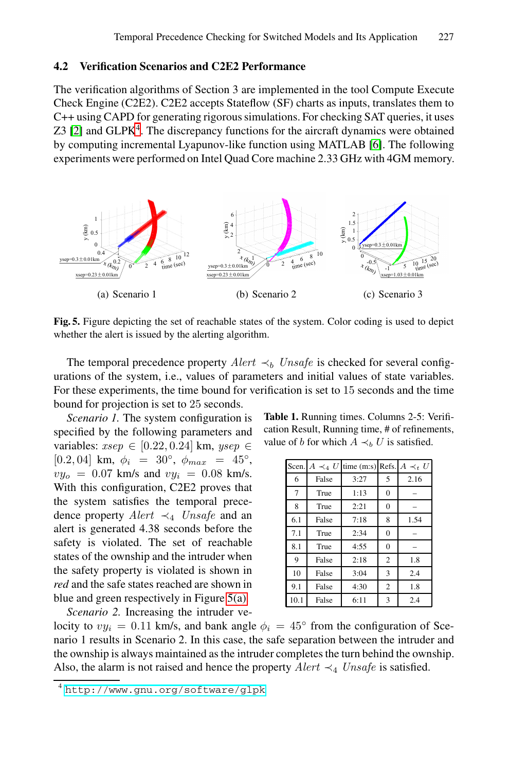## <span id="page-12-0"></span>**4.2 Verification Scenarios and C2E2 Performance**

The verification algorithms of Section 3 are implemented in the tool Compute Execute Check Engine (C2E2). C2E2 accepts Stateflow (SF) charts as inputs, translates them to C++ using CAPD for generating rigorous simulations. For checking SAT queries, it uses  $Z3$  [2] and GLPK<sup>4</sup>. The discrepancy functions for the aircraft dynamics were obtained by computing incremental Lyapunov-like function using MATLAB [6]. The following experiments were performed on Intel Quad Core machine 2.33 GHz with 4GM memory.



**Fig. 5.** Figure depicting the set of reachable states of the system. Color coding is used to depict whether the alert is issued by the alerting algorithm.

The temporal precedence property  $Alert \prec_b Unsafe$  is checked for several configurations of the system, i.e., values of parameters and initial values of state variables. For these experiments, the time bound for verification is set to 15 seconds and the time bound for projection is set to 25 seconds.

*Scenario 1.* The system configuration is specified by the following parameters and variables: *xsep* ∈ [0.22, 0.24] km, *ysep* ∈ [0.2, 04] km,  $\phi_i = 30^\circ$ ,  $\phi_{max} = 45^\circ$ ,  $vy_o = 0.07$  km/s and  $vy_i = 0.08$  km/s. With this configu[ratio](#page-12-0)n, C2E2 proves that the system satisfies the temporal precedence property *Alert* ≺<sup>4</sup> *Unsafe* and an alert is generated 4.38 seconds before the safety is violated. The set of reachable states of the ownship and the intruder when the safety property is violated is shown in *red* [and the safe states reach](http://www.gnu.org/software/glpk)ed are shown in blue and green respectively in Figure 5(a). *Scenario 2.* Increasing the intruder ve<span id="page-12-1"></span>**Table 1.** Running times. Columns 2-5: Verification Result, Running time, # of refinements, value of b for which  $A \prec_b U$  is satisfied.

| Scen. | $A \prec_4 U$ | time (m:s) Refs. $A \prec_t U$ |                |      |
|-------|---------------|--------------------------------|----------------|------|
| 6     | False         | 3:27                           | 5              | 2.16 |
| 7     | True          | 1:13                           | $\mathbf{0}$   |      |
| 8     | True          | 2:21                           | $\Omega$       |      |
| 6.1   | False         | 7:18                           | 8              | 1.54 |
| 7.1   | True          | 2:34                           | $\overline{0}$ |      |
| 8.1   | True          | 4:55                           | $\overline{0}$ |      |
| 9     | False         | 2:18                           | $\overline{2}$ | 1.8  |
| 10    | False         | 3:04                           | 3              | 2.4  |
| 9.1   | False         | 4:30                           | $\overline{2}$ | 1.8  |
| 10.1  | False         | 6:11                           | 3              | 2.4  |

locity to  $vy_i = 0.11$  km/s, and bank angle  $\phi_i = 45^\circ$  from the configuration of Scenario 1 results in Scenario 2. In this case, the safe separation between the intruder and the ownship is always maintained as the intruder completes the turn behind the ownship. Also, the alarm is not raised and hence the property  $Alert \prec_4 Unsafe$  is satisfied.

<sup>4</sup> http://www.gnu.org/software/glpk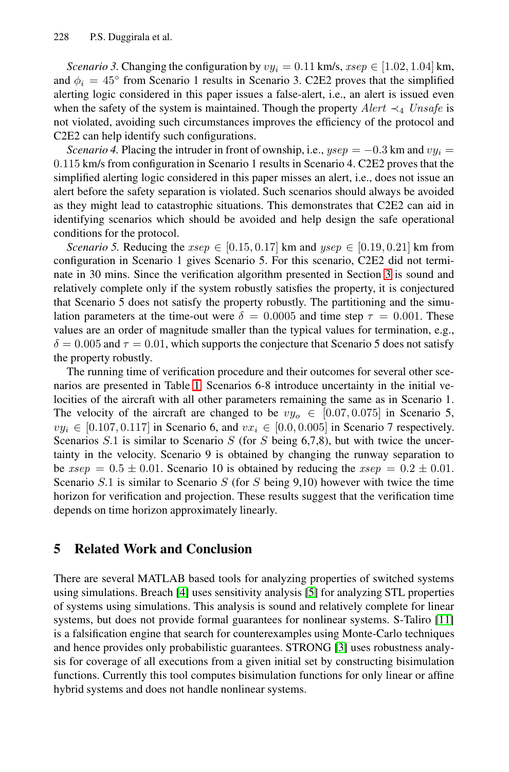*Scenario 3.* Changing the configuration by  $vy_i = 0.11$  km/s,  $xsep \in [1.02, 1.04]$  km, and  $\phi_i = 45^\circ$  from Scenario 1 results in Scenario 3. C2E2 proves that the simplified alerting logic considered in this paper issues a false-alert, i.e., an alert is issued even when the safety of the system is maintained. Though the property  $A$ lert  $\prec_4$  *Unsafe* is not violated, avoiding such circumstances improves the efficiency of the protocol and C2E2 can help identify such configurations.

*Scenario 4.* Placing the intruder in front of ownship, i.e.,  $ysep = -0.3$  km and  $vy_i =$ 0.115 km/s from configuration in Scenario 1 results [in](#page-4-4) Scenario 4. C2E2 proves that the simplified alerting logic considered in this paper misses an alert, i.e., does not issue an alert before the safety separation is violated. Such scenarios should always be avoided as they might lead to catastrophic situations. This demonstrates that C2E2 can aid in identifying scenarios which should be avoided and help design the safe operational conditions for the protocol.

*Scenario 5.* Reducing the  $xsep \in [0.15, 0.17]$  km and  $ysep \in [0.19, 0.21]$  km from configuration in Scenario 1 gives Scenario 5. For this scenario, C2E2 did not terminate in 30 [m](#page-12-1)ins. Since the verification algorithm presented in Section 3 is sound and relatively complete only if the system robustly satisfies the property, it is conjectured that Scenario 5 does not satisfy the property robustly. The partitioning and the simulation parameters at the time-out were  $\delta = 0.0005$  and time step  $\tau = 0.001$ . These values are an order of magnitude smaller than the typical values for termination, e.g.,  $\delta = 0.005$  and  $\tau = 0.01$ , which supports the conjecture that Scenario 5 does not satisfy the property robustly.

The running time of verification procedure and their outcomes for several other scenarios are presented in Table 1. Scenarios 6-8 introduce uncertainty in the initial velocities of the aircraft with all other parameters remaining the same as in Scenario 1. The velocity of the aircraft are changed to be  $vy_0 \in [0.07, 0.075]$  in Scenario 5,  $vy_i \in [0.107, 0.117]$  in Scenario 6, and  $vx_i \in [0.0, 0.005]$  in Scenario 7 respectively. Scenarios  $S.1$  is similar to Scenario  $S$  (for  $S$  being 6,7,8), but with twice the uncertainty in the velocity. Scenario 9 is obtained by changing the runway separation to be  $xsep = 0.5 \pm 0.01$ . Scenario 10 is obtained by reducing the  $xsep = 0.2 \pm 0.01$ . Scenar[io](#page-14-9)  $S.1$  $S.1$  is similar to Scenario  $S$  (for  $S$  being 9,10) however with twice the time horizon for verification and projection. These results suggest that the verification time depends on time horizon approximately linearly.

# **5 Related Work and Conclusio[n](#page-14-11)**

There are several MATLAB based tools for analyzing properties of switched systems using simulations. Breach [4] uses sensitivity analysis [5] for analyzing STL properties of systems using simulations. This analysis is sound and relatively complete for linear systems, but does not provide formal guarantees for nonlinear systems. S-Taliro [11] is a falsification engine that search for counterexamples using Monte-Carlo techniques and hence provides only probabilistic guarantees. STRONG [3] uses robustness analysis for coverage of all executions from a given initial set by constructing bisimulation functions. Currently this tool computes bisimulation functions for only linear or affine hybrid systems and does not handle nonlinear systems.